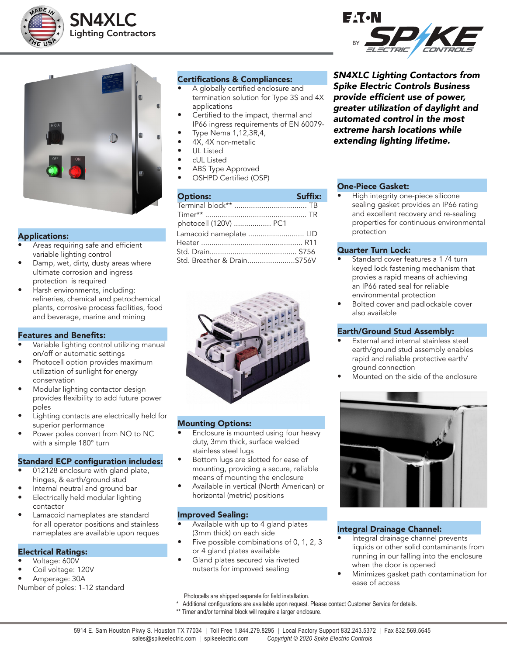





### Applications:

- Areas requiring safe and efficient variable lighting control
- Damp, wet, dirty, dusty areas where ultimate corrosion and ingress protection is required
- Harsh environments, including: refineries, chemical and petrochemical plants, corrosive process facilities, food and beverage, marine and mining

### Features and Benefits:

- Variable lighting control utilizing manual on/off or automatic settings
- Photocell option provides maximum utilization of sunlight for energy conservation
- Modular lighting contactor design provides flexibility to add future power poles
- Lighting contacts are electrically held for superior performance
- Power poles convert from NO to NC with a simple 180° turn

### Standard ECP configuration includes:

- 012128 enclosure with gland plate, hinges, & earth/ground stud
- Internal neutral and ground bar
- Electrically held modular lighting contactor
- Lamacoid nameplates are standard for all operator positions and stainless nameplates are available upon reques

### Electrical Ratings:

- Voltage: 600V
- Coil voltage: 120V
- Amperage: 30A

Number of poles: 1-12 standard

# Certifications & Compliances:

- A globally certified enclosure and termination solution for Type 3S and 4X applications
- Certified to the impact, thermal and IP66 ingress requirements of EN 60079-
- Type Nema 1,12,3R,4,
- 4X, 4X non-metalic
- UL Listed
- cUL Listed
- ABS Type Approved • OSHPD Certified (OSP)

| <b>Options:</b>         | Suffix: |
|-------------------------|---------|
|                         |         |
|                         |         |
| photocell (120V)  PC1   |         |
| Lamacoid nameplate  LID |         |
|                         |         |
|                         |         |
|                         |         |



### Mounting Options:

- Enclosure is mounted using four heavy duty, 3mm thick, surface welded stainless steel lugs
- Bottom lugs are slotted for ease of mounting, providing a secure, reliable means of mounting the enclosure
- Available in vertical (North American) or horizontal (metric) positions

### Improved Sealing:

- Available with up to 4 gland plates (3mm thick) on each side
- Five possible combinations of 0, 1, 2, 3 or 4 gland plates available
- Gland plates secured via riveted nutserts for improved sealing

Photocells are shipped separate for field installation.

- Additional configurations are available upon request. Please contact Customer Service for details.
- \*\* Timer and/or terminal block will require a larger enclosure.

# *SN4XLC Lighting Contactors from*

*Spike Electric Controls Business*  provide efficient use of power, *greater utilization of daylight and automated control in the most*  extreme harsh locations while *extending lighting lifetime.*

# One-Piece Gasket:

• High integrity one-piece silicone sealing gasket provides an IP66 rating and excellent recovery and re-sealing properties for continuous environmental protection

# Quarter Turn Lock:

- Standard cover features a 1 /4 turn keyed lock fastening mechanism that provies a rapid means of achieving an IP66 rated seal for reliable environmental protection
- Bolted cover and padlockable cover also available

### Earth/Ground Stud Assembly:

- External and internal stainless steel earth/ground stud assembly enables rapid and reliable protective earth/ ground connection
- Mounted on the side of the enclosure



# Integral Drainage Channel:

- Integral drainage channel prevents liquids or other solid contaminants from running in our falling into the enclosure when the door is opened
- Minimizes gasket path contamination for ease of access